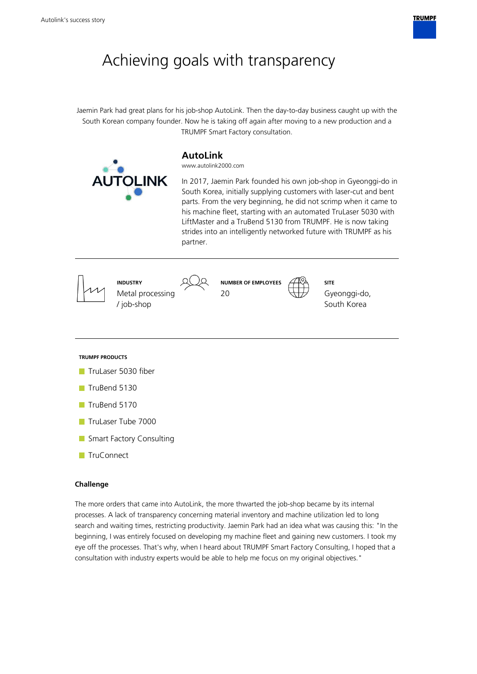# Achieving goals with transparency

Jaemin Park had great plans for his job-shop AutoLink. Then the day-to-day business caught up with the South Korean company founder. Now he is taking off again after moving to a new production and a TRUMPF Smart Factory consultation.

# **AutoLink**

**DLINK** 

www.autolink2000.com

In 2017, Jaemin Park founded his own job-shop in Gyeonggi-do in South Korea, initially supplying customers with laser-cut and bent parts. From the very beginning, he did not scrimp when it came to his machine fleet, starting with an automated TruLaser 5030 with LiftMaster and a TruBend 5130 from TRUMPF. He is now taking strides into an intelligently networked future with TRUMPF as his partner.



**TRUMPF PRODUCTS**



- TruBend 5130
- TruBend 5170
- **TruLaser Tube 7000**
- Smart Factory Consulting
- **TruConnect**

## **Challenge**

The more orders that came into AutoLink, the more thwarted the job-shop became by its internal processes. A lack of transparency concerning material inventory and machine utilization led to long search and waiting times, restricting productivity. Jaemin Park had an idea what was causing this: "In the beginning, I was entirely focused on developing my machine fleet and gaining new customers. I took my eye off the processes. That's why, when I heard about TRUMPF Smart Factory Consulting, I hoped that a consultation with industry experts would be able to help me focus on my original objectives."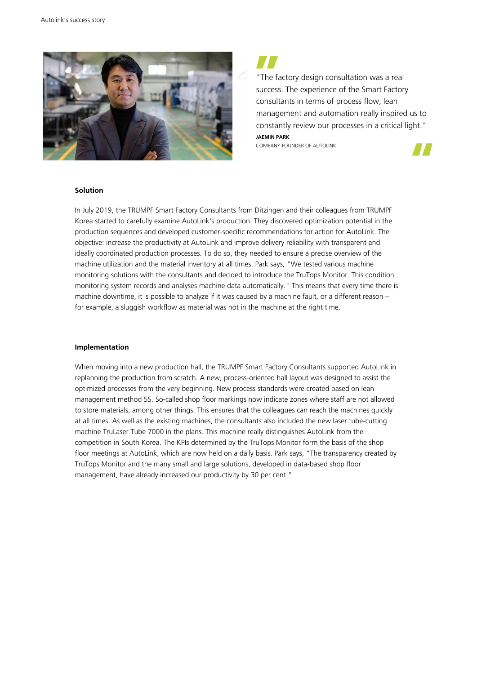

"The factory design consultation was a real success. The experience of the Smart Factory consultants in terms of process flow, lean management and automation really inspired us to constantly review our processes in a critical light." **JAEMIN PARK**

COMPANY FOUNDER OF AUTOLINK

### **Solution**

In July 2019, the TRUMPF Smart Factory Consultants from Ditzingen and their colleagues from TRUMPF Korea started to carefully examine AutoLink's production. They discovered optimization potential in the production sequences and developed customer-specific recommendations for action for AutoLink. The objective: increase the productivity at AutoLink and improve delivery reliability with transparent and ideally coordinated production processes. To do so, they needed to ensure a precise overview of the machine utilization and the material inventory at all times. Park says, "We tested various machine monitoring solutions with the consultants and decided to introduce the TruTops Monitor. This condition monitoring system records and analyses machine data automatically." This means that every time there is machine downtime, it is possible to analyze if it was caused by a machine fault, or a different reason – for example, a sluggish workflow as material was not in the machine at the right time.

#### **Implementation**

When moving into a new production hall, the TRUMPF Smart Factory Consultants supported AutoLink in replanning the production from scratch. A new, process-oriented hall layout was designed to assist the optimized processes from the very beginning. New process standards were created based on lean management method 5S. So-called shop floor markings now indicate zones where staff are not allowed to store materials, among other things. This ensures that the colleagues can reach the machines quickly at all times. As well as the existing machines, the consultants also included the new laser tube-cutting machine TruLaser Tube 7000 in the plans. This machine really distinguishes AutoLink from the competition in South Korea. The KPIs determined by the TruTops Monitor form the basis of the shop floor meetings at AutoLink, which are now held on a daily basis. Park says, "The transparency created by TruTops Monitor and the many small and large solutions, developed in data-based shop floor management, have already increased our productivity by 30 per cent."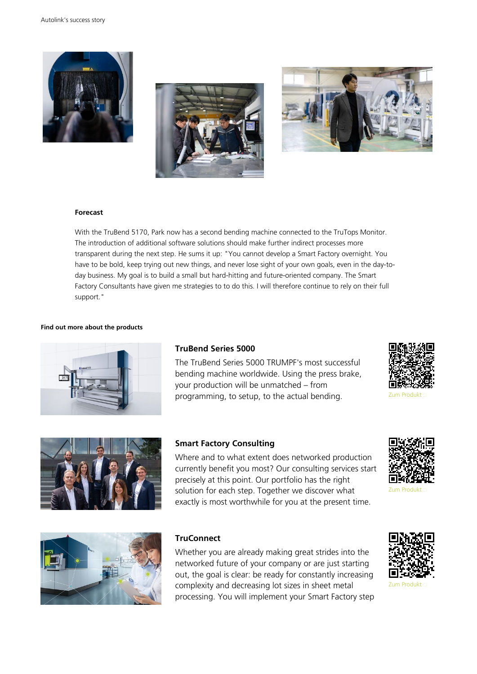





## **Forecast**

With the TruBend 5170, Park now has a second bending machine connected to the TruTops Monitor. The introduction of additional software solutions should make further indirect processes more transparent during the next step. He sums it up: "You cannot develop a Smart Factory overnight. You have to be bold, keep trying out new things, and never lose sight of your own goals, even in the day-today business. My goal is to build a small but hard-hitting and future-oriented company. The Smart Factory Consultants have given me strategies to to do this. I will therefore continue to rely on their full support."

#### **Find out more about the products**



# **TruBend Series 5000**

The TruBend Series 5000 TRUMPF's most successful bending machine worldwide. Using the press brake, your production will be unmatched – from programming, to setup, to the actual bending. Zum Produkt





## **Smart Factory Consulting**

Where and to what extent does networked production currently benefit you most? Our consulting services start precisely at this point. Our portfolio has the right solution for each step. Together we discover what exactly is most worthwhile for you at the present time.



# **TruConnect**

Whether you are already making great strides into the networked future of your company or are just starting out, the goal is clear: be ready for constantly increasing complexity and decreasing lot sizes in sheet metal processing. You will implement your Smart Factory step